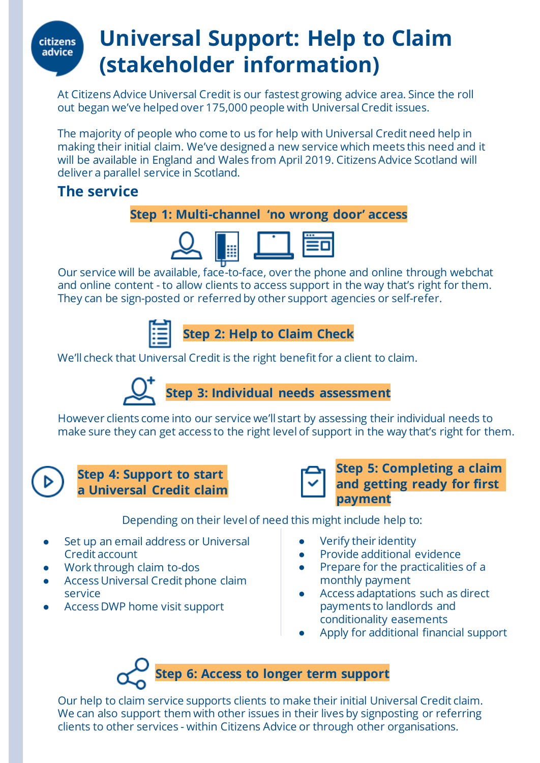## **citizens** advice

## **Universal Support: Help to Claim (stakeholder information)**

At Citizens Advice Universal Credit is our fastest growing advice area. Since the roll out began we've helped over 175,000 people with Universal Credit issues.

The majority of people who come to us for help with Universal Credit need help in making their initial claim. We've designed a new service which meets this need and it will be available in England and Wales from April 2019. Citizens Advice Scotland will deliver a parallel service in Scotland.

#### **The service**

#### **Step 1: Multi-channel 'no wrong door' access**



Our service will be available, face-to-face, over the phone and online through webchat and online content - to allow clients to access support in the way that's right for them. They can be sign-posted or referred by other support agencies or self-refer.



We'll check that Universal Credit is the right benefit for a client to claim.



However clients come into our service we'll start by assessing their individual needs to make sure they can get access to the right level of support in the way that's right for them.

 $\triangleright$ 

#### **Step 4: Support to start a Universal Credit claim**



#### **Step 5: Completing a claim and getting ready for first payment**

Depending on their level of need this might include help to:

- Set up an email address or Universal Credit account
- Work through claim to-dos
- Access Universal Credit phone claim service
- Access DWP home visit support
- **Verify their identity**
- **Provide additional evidence**
- Prepare for the practicalities of a monthly payment
- Access adaptations such as direct payments to landlords and conditionality easements
- Apply for additional financial support

# **Step 6: Access to longer term support**

Our help to claim service supports clients to make their initial Universal Credit claim. We can also support them with other issues in their lives by signposting or referring clients to other services - within Citizens Advice or through other organisations.